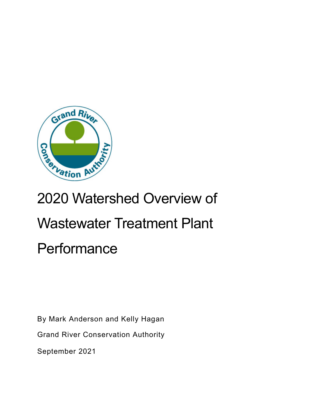

# 2020 Watershed Overview of Wastewater Treatment Plant **Performance**

By Mark Anderson and Kelly Hagan

Grand River Conservation Authority

September 2021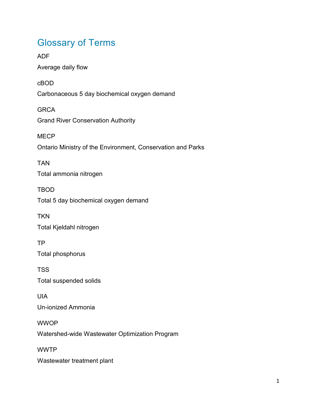## Glossary of Terms

ADF Average daily flow cBOD Carbonaceous 5 day biochemical oxygen demand **GRCA** Grand River Conservation Authority **MECP** Ontario Ministry of the Environment, Conservation and Parks TAN Total ammonia nitrogen TBOD Total 5 day biochemical oxygen demand **TKN** Total Kjeldahl nitrogen TP Total phosphorus TSS Total suspended solids UIA Un-ionized Ammonia **WWOP** Watershed-wide Wastewater Optimization Program WWTP Wastewater treatment plant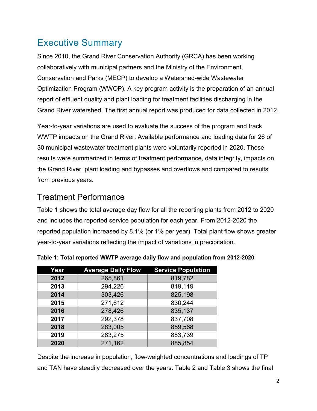### Executive Summary

Since 2010, the Grand River Conservation Authority (GRCA) has been working collaboratively with municipal partners and the Ministry of the Environment, Conservation and Parks (MECP) to develop a Watershed-wide Wastewater Optimization Program (WWOP). A key program activity is the preparation of an annual report of effluent quality and plant loading for treatment facilities discharging in the Grand River watershed. The first annual report was produced for data collected in 2012.

Year-to-year variations are used to evaluate the success of the program and track WWTP impacts on the Grand River. Available performance and loading data for 26 of 30 municipal wastewater treatment plants were voluntarily reported in 2020. These results were summarized in terms of treatment performance, data integrity, impacts on the Grand River, plant loading and bypasses and overflows and compared to results from previous years.

#### Treatment Performance

[Table 1](#page-2-0) shows the total average day flow for all the reporting plants from 2012 to 2020 and includes the reported service population for each year. From 2012-2020 the reported population increased by 8.1% (or 1% per year). Total plant flow shows greater year-to-year variations reflecting the impact of variations in precipitation.

| Year | <b>Average Daily Flow</b> | <b>Service Population</b> |
|------|---------------------------|---------------------------|
| 2012 | 265,861                   | 819,782                   |
| 2013 | 294,226                   | 819,119                   |
| 2014 | 303,426                   | 825,198                   |
| 2015 | 271,612                   | 830,244                   |
| 2016 | 278,426                   | 835,137                   |
| 2017 | 292,378                   | 837,708                   |
| 2018 | 283,005                   | 859,568                   |
| 2019 | 283,275                   | 883,739                   |
| 2020 | 271,162                   | 885,854                   |

<span id="page-2-0"></span>**Table 1: Total reported WWTP average daily flow and population from 2012-2020** 

Despite the increase in population, flow-weighted concentrations and loadings of TP and TAN have steadily decreased over the years. [Table 2](#page-3-0) and [Table 3](#page-4-0) shows the final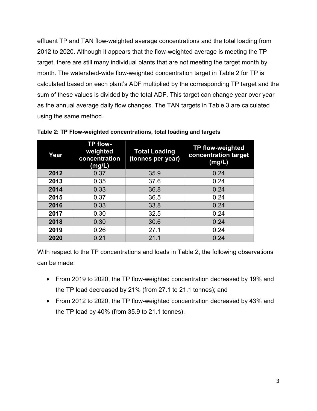effluent TP and TAN flow-weighted average concentrations and the total loading from 2012 to 2020. Although it appears that the flow-weighted average is meeting the TP target, there are still many individual plants that are not meeting the target month by month. The watershed-wide flow-weighted concentration target in [Table 2](#page-3-0) for TP is calculated based on each plant's ADF multiplied by the corresponding TP target and the sum of these values is divided by the total ADF. This target can change year over year as the annual average daily flow changes. The TAN targets in [Table 3](#page-4-0) are calculated using the same method.

| Year | <b>TP flow-</b><br>weighted<br>concentration<br>(mg/L) | <b>Total Loading</b><br>(tonnes per year) | <b>TP flow-weighted</b><br>concentration target<br>(mg/L) |
|------|--------------------------------------------------------|-------------------------------------------|-----------------------------------------------------------|
| 2012 | 0.37                                                   | 35.9                                      | 0.24                                                      |
| 2013 | 0.35                                                   | 37.6                                      | 0.24                                                      |
| 2014 | 0.33                                                   | 36.8                                      | 0.24                                                      |
| 2015 | 0.37                                                   | 36.5                                      | 0.24                                                      |
| 2016 | 0.33                                                   | 33.8                                      | 0.24                                                      |
| 2017 | 0.30                                                   | 32.5                                      | 0.24                                                      |
| 2018 | 0.30                                                   | 30.6                                      | 0.24                                                      |
| 2019 | 0.26                                                   | 27.1                                      | 0.24                                                      |
| 2020 | 0.21                                                   | 21.1                                      | 0.24                                                      |

<span id="page-3-0"></span>**Table 2: TP Flow-weighted concentrations, total loading and targets**

With respect to the TP concentrations and loads in [Table 2,](#page-3-0) the following observations can be made:

- From 2019 to 2020, the TP flow-weighted concentration decreased by 19% and the TP load decreased by 21% (from 27.1 to 21.1 tonnes); and
- From 2012 to 2020, the TP flow-weighted concentration decreased by 43% and the TP load by 40% (from 35.9 to 21.1 tonnes).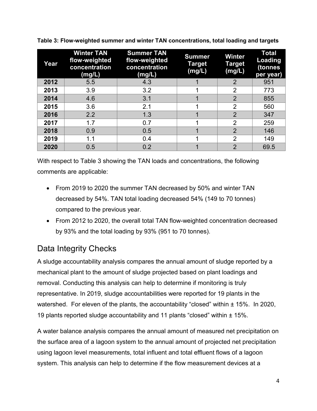| Year | <b>Winter TAN</b><br>flow-weighted<br>concentration<br>(mg/L) | <b>Summer TAN</b><br>flow-weighted<br>concentration<br>(mg/L) | <b>Summer</b><br>Target<br>(mg/L) | <b>Winter</b><br>Target<br>(mg/L) | <b>Total</b><br>Loading<br>(tonnes<br>per year) |
|------|---------------------------------------------------------------|---------------------------------------------------------------|-----------------------------------|-----------------------------------|-------------------------------------------------|
| 2012 | 5.5                                                           | 4.3                                                           |                                   | $\overline{2}$                    | 951                                             |
| 2013 | 3.9                                                           | 3.2                                                           |                                   | $\overline{2}$                    | 773                                             |
| 2014 | 4.6                                                           | 3.1                                                           |                                   | $\overline{2}$                    | 855                                             |
| 2015 | 3.6                                                           | 2.1                                                           |                                   | $\overline{2}$                    | 560                                             |
| 2016 | 2.2                                                           | 1.3                                                           |                                   | $\overline{2}$                    | 347                                             |
| 2017 | 1.7                                                           | 0.7                                                           |                                   | $\overline{2}$                    | 259                                             |
| 2018 | 0.9                                                           | 0.5                                                           |                                   | $\overline{2}$                    | 146                                             |
| 2019 | 1.1                                                           | 0.4                                                           |                                   | $\overline{2}$                    | 149                                             |
| 2020 | 0.5                                                           | 0.2                                                           |                                   | $\overline{2}$                    | 69.5                                            |

<span id="page-4-0"></span>**Table 3: Flow-weighted summer and winter TAN concentrations, total loading and targets**

With respect to [Table 3](#page-4-0) showing the TAN loads and concentrations, the following comments are applicable:

- From 2019 to 2020 the summer TAN decreased by 50% and winter TAN decreased by 54%. TAN total loading decreased 54% (149 to 70 tonnes) compared to the previous year.
- From 2012 to 2020, the overall total TAN flow-weighted concentration decreased by 93% and the total loading by 93% (951 to 70 tonnes).

#### Data Integrity Checks

A sludge accountability analysis compares the annual amount of sludge reported by a mechanical plant to the amount of sludge projected based on plant loadings and removal. Conducting this analysis can help to determine if monitoring is truly representative. In 2019, sludge accountabilities were reported for 19 plants in the watershed. For eleven of the plants, the accountability "closed" within  $\pm$  15%. In 2020, 19 plants reported sludge accountability and 11 plants "closed" within ± 15%.

A water balance analysis compares the annual amount of measured net precipitation on the surface area of a lagoon system to the annual amount of projected net precipitation using lagoon level measurements, total influent and total effluent flows of a lagoon system. This analysis can help to determine if the flow measurement devices at a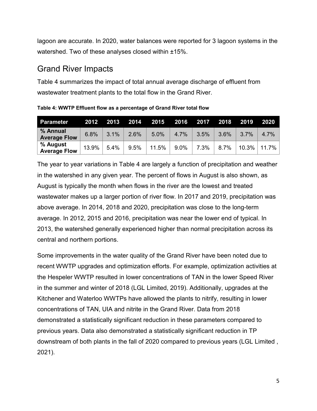lagoon are accurate. In 2020, water balances were reported for 3 lagoon systems in the watershed. Two of these analyses closed within ±15%.

#### Grand River Impacts

[Table 4](#page-5-0) summarizes the impact of total annual average discharge of effluent from wastewater treatment plants to the total flow in the Grand River.

<span id="page-5-0"></span>**Table 4: WWTP Effluent flow as a percentage of Grand River total flow**

| Parameter                       | 2012  |      |      | 2013 2014 2015 2016 2017 |      |      | 2018 | 2019 | <b>2020</b>      |
|---------------------------------|-------|------|------|--------------------------|------|------|------|------|------------------|
| % Annual<br><b>Average Flow</b> | 6.8%  | 3.1% | 2.6% | 5.0%                     | 4.7% | 3.5% | 3.6% | 3.7% | 4.7%             |
| % August<br><b>Average Flow</b> | 13.9% | 5.4% | 9.5% | 11.5%                    | 9.0% | 7.3% | 8.7% |      | $10.3\%$   11.7% |

The year to year variations in [Table 4](#page-5-0) are largely a function of precipitation and weather in the watershed in any given year. The percent of flows in August is also shown, as August is typically the month when flows in the river are the lowest and treated wastewater makes up a larger portion of river flow. In 2017 and 2019, precipitation was above average. In 2014, 2018 and 2020, precipitation was close to the long-term average. In 2012, 2015 and 2016, precipitation was near the lower end of typical. In 2013, the watershed generally experienced higher than normal precipitation across its central and northern portions.

Some improvements in the water quality of the Grand River have been noted due to recent WWTP upgrades and optimization efforts. For example, optimization activities at the Hespeler WWTP resulted in lower concentrations of TAN in the lower Speed River in the summer and winter of 2018 (LGL Limited, 2019). Additionally, upgrades at the Kitchener and Waterloo WWTPs have allowed the plants to nitrify, resulting in lower concentrations of TAN, UIA and nitrite in the Grand River. Data from 2018 demonstrated a statistically significant reduction in these parameters compared to previous years. Data also demonstrated a statistically significant reduction in TP downstream of both plants in the fall of 2020 compared to previous years (LGL Limited , 2021).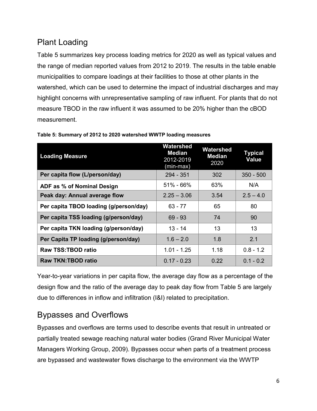#### Plant Loading

[Table 5](#page-6-0) summarizes key process loading metrics for 2020 as well as typical values and the range of median reported values from 2012 to 2019. The results in the table enable municipalities to compare loadings at their facilities to those at other plants in the watershed, which can be used to determine the impact of industrial discharges and may highlight concerns with unrepresentative sampling of raw influent. For plants that do not measure TBOD in the raw influent it was assumed to be 20% higher than the cBOD measurement.

| <b>Loading Measure</b>                 | Watershed<br>Median<br>2012-2019<br>(min-max) | Watershed<br><b>Median</b><br>2020 | <b>Typical</b><br><b>Value</b> |
|----------------------------------------|-----------------------------------------------|------------------------------------|--------------------------------|
| Per capita flow (L/person/day)         | 294 - 351                                     | 302                                | $350 - 500$                    |
| ADF as % of Nominal Design             | $51\% - 66\%$                                 | 63%                                | N/A                            |
| Peak day: Annual average flow          | $2.25 - 3.06$                                 | 3.54                               | $2.5 - 4.0$                    |
| Per capita TBOD loading (g/person/day) | $63 - 77$                                     | 65                                 | 80                             |
| Per capita TSS loading (g/person/day)  | $69 - 93$                                     | 74                                 | 90                             |
| Per capita TKN loading (g/person/day)  | $13 - 14$                                     | 13                                 | 13                             |
| Per Capita TP loading (g/person/day)   | $1.6 - 2.0$                                   | 1.8                                | 2.1                            |
| <b>Raw TSS:TBOD ratio</b>              | $1.01 - 1.25$                                 | 1.18                               | $0.8 - 1.2$                    |
| <b>Raw TKN:TBOD ratio</b>              | $0.17 - 0.23$                                 | 0.22                               | $0.1 - 0.2$                    |

<span id="page-6-0"></span>**Table 5: Summary of 2012 to 2020 watershed WWTP loading measures**

Year-to-year variations in per capita flow, the average day flow as a percentage of the design flow and the ratio of the average day to peak day flow from [Table 5](#page-6-0) are largely due to differences in inflow and infiltration (I&I) related to precipitation.

#### Bypasses and Overflows

Bypasses and overflows are terms used to describe events that result in untreated or partially treated sewage reaching natural water bodies (Grand River Municipal Water Managers Working Group, 2009). Bypasses occur when parts of a treatment process are bypassed and wastewater flows discharge to the environment via the WWTP